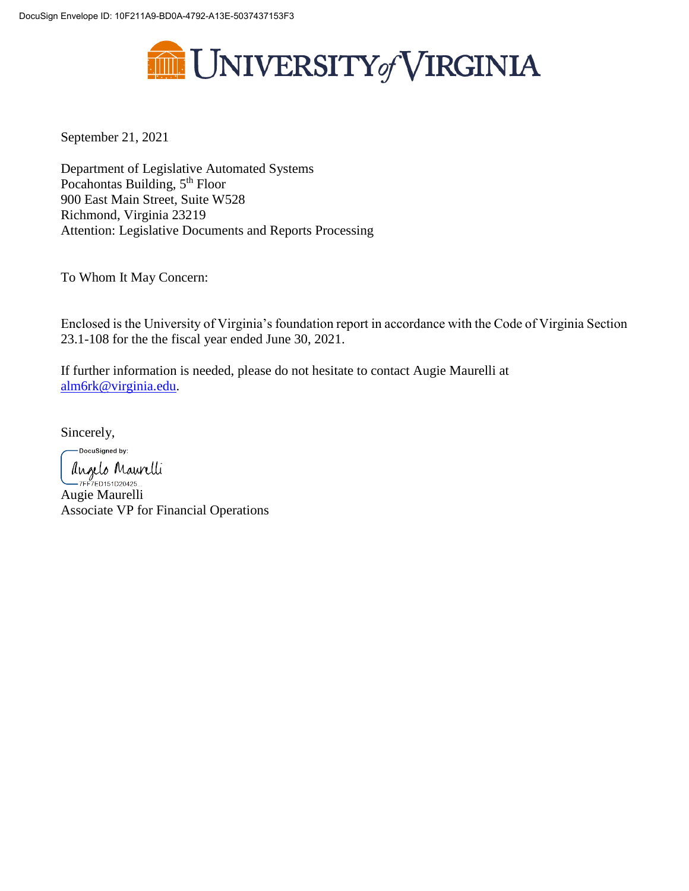

September 21, 2021

Department of Legislative Automated Systems Pocahontas Building, 5<sup>th</sup> Floor 900 East Main Street, Suite W528 Richmond, Virginia 23219 Attention: Legislative Documents and Reports Processing

To Whom It May Concern:

Enclosed is the University of Virginia's foundation report in accordance with the Code of Virginia Section 23.1-108 for the the fiscal year ended June 30, 2021.

If further information is needed, please do not hesitate to contact Augie Maurelli at [alm6rk@virginia.edu.](mailto:alm6rk@virginia.edu)

Sincerely,

-DocuSigned by:

Augelo Maurelli<br>TEFTED151D20425...<br>Augie Maurelli Associate VP for Financial Operations